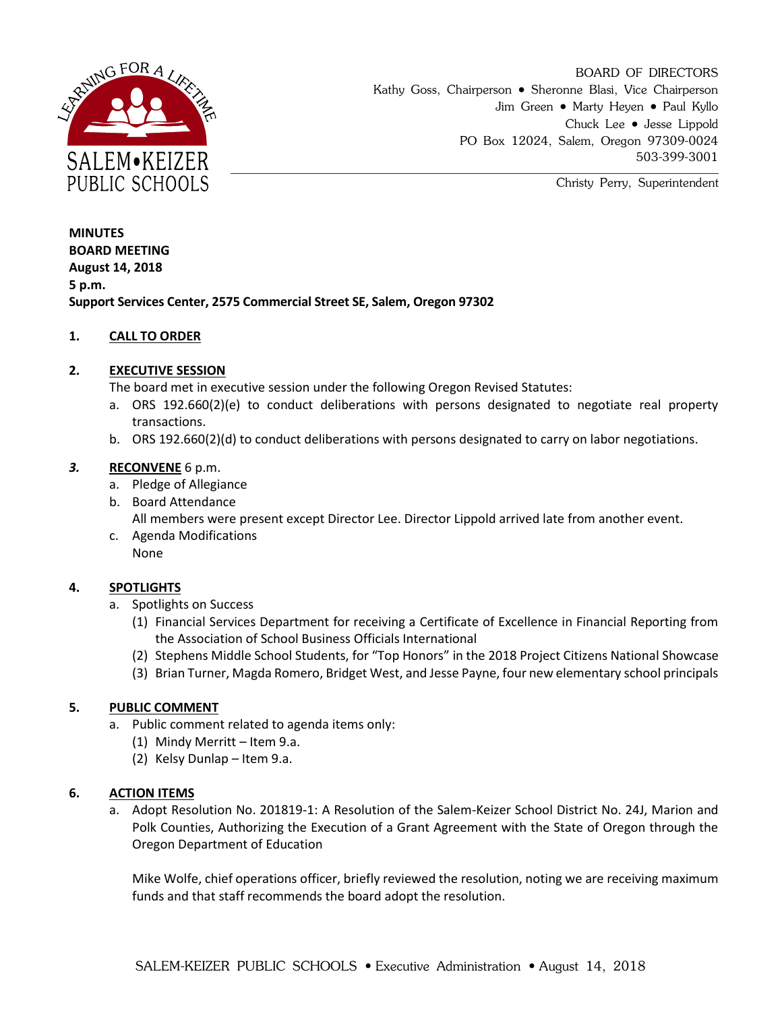

Christy Perry, Superintendent

**MINUTES BOARD MEETING August 14, 2018 5 p.m. Support Services Center, 2575 Commercial Street SE, Salem, Oregon 97302**

# **1. CALL TO ORDER**

## **2. EXECUTIVE SESSION**

The board met in executive session under the following Oregon Revised Statutes:

- a. ORS 192.660(2)(e) to conduct deliberations with persons designated to negotiate real property transactions.
- b. ORS 192.660(2)(d) to conduct deliberations with persons designated to carry on labor negotiations.

## *3.* **RECONVENE** 6 p.m.

- a. Pledge of Allegiance
- b. Board Attendance All members were present except Director Lee. Director Lippold arrived late from another event.
- c. Agenda Modifications None

# **4. SPOTLIGHTS**

- a. Spotlights on Success
	- (1) Financial Services Department for receiving a Certificate of Excellence in Financial Reporting from the Association of School Business Officials International
	- (2) Stephens Middle School Students, for "Top Honors" in the 2018 Project Citizens National Showcase
	- (3) Brian Turner, Magda Romero, Bridget West, and Jesse Payne, four new elementary school principals

#### **5. PUBLIC COMMENT**

- a. Public comment related to agenda items only:
	- (1) Mindy Merritt Item 9.a.
	- (2) Kelsy Dunlap Item 9.a.

## **6. ACTION ITEMS**

a. Adopt Resolution No. 201819-1: A Resolution of the Salem-Keizer School District No. 24J, Marion and Polk Counties, Authorizing the Execution of a Grant Agreement with the State of Oregon through the Oregon Department of Education

Mike Wolfe, chief operations officer, briefly reviewed the resolution, noting we are receiving maximum funds and that staff recommends the board adopt the resolution.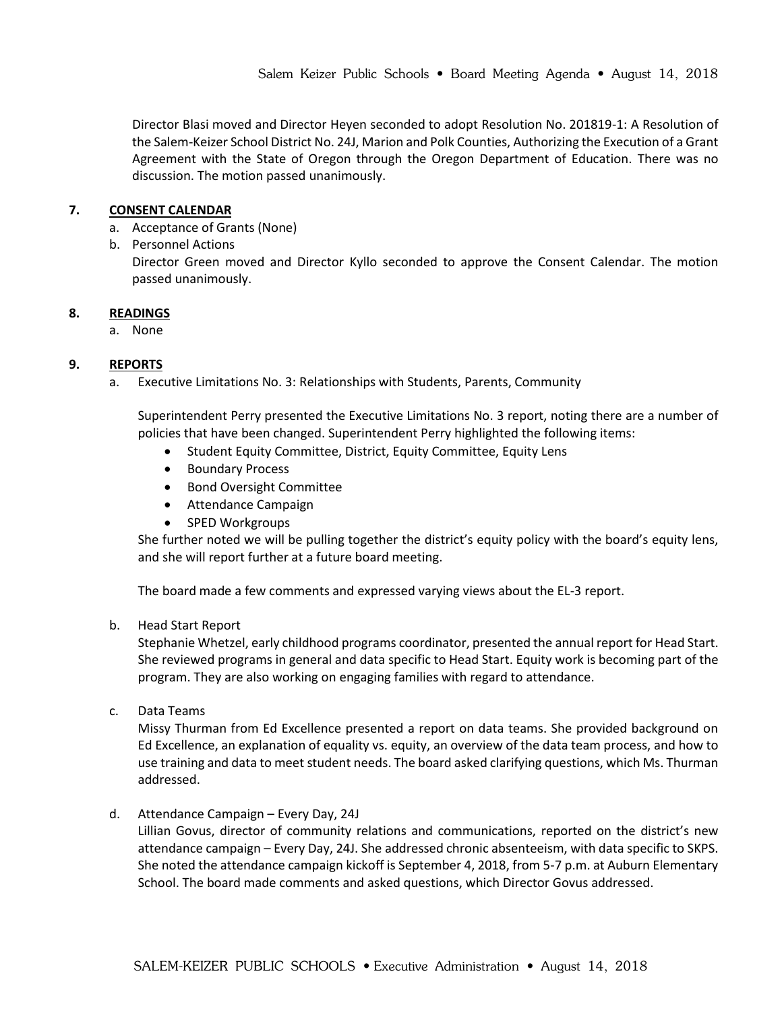Director Blasi moved and Director Heyen seconded to adopt Resolution No. 201819-1: A Resolution of the Salem-Keizer School District No. 24J, Marion and Polk Counties, Authorizing the Execution of a Grant Agreement with the State of Oregon through the Oregon Department of Education. There was no discussion. The motion passed unanimously.

## **7. CONSENT CALENDAR**

- a. Acceptance of Grants (None)
- b. Personnel Actions

Director Green moved and Director Kyllo seconded to approve the Consent Calendar. The motion passed unanimously.

## **8. READINGS**

a. None

# **9. REPORTS**

a. Executive Limitations No. 3: Relationships with Students, Parents, Community

Superintendent Perry presented the Executive Limitations No. 3 report, noting there are a number of policies that have been changed. Superintendent Perry highlighted the following items:

- Student Equity Committee, District, Equity Committee, Equity Lens
- **•** Boundary Process
- Bond Oversight Committee
- Attendance Campaign
- SPED Workgroups

She further noted we will be pulling together the district's equity policy with the board's equity lens, and she will report further at a future board meeting.

The board made a few comments and expressed varying views about the EL-3 report.

#### b. Head Start Report

Stephanie Whetzel, early childhood programs coordinator, presented the annual report for Head Start. She reviewed programs in general and data specific to Head Start. Equity work is becoming part of the program. They are also working on engaging families with regard to attendance.

c. Data Teams

Missy Thurman from Ed Excellence presented a report on data teams. She provided background on Ed Excellence, an explanation of equality vs. equity, an overview of the data team process, and how to use training and data to meet student needs. The board asked clarifying questions, which Ms. Thurman addressed.

d. Attendance Campaign – Every Day, 24J

Lillian Govus, director of community relations and communications, reported on the district's new attendance campaign – Every Day, 24J. She addressed chronic absenteeism, with data specific to SKPS. She noted the attendance campaign kickoff is September 4, 2018, from 5-7 p.m. at Auburn Elementary School. The board made comments and asked questions, which Director Govus addressed.